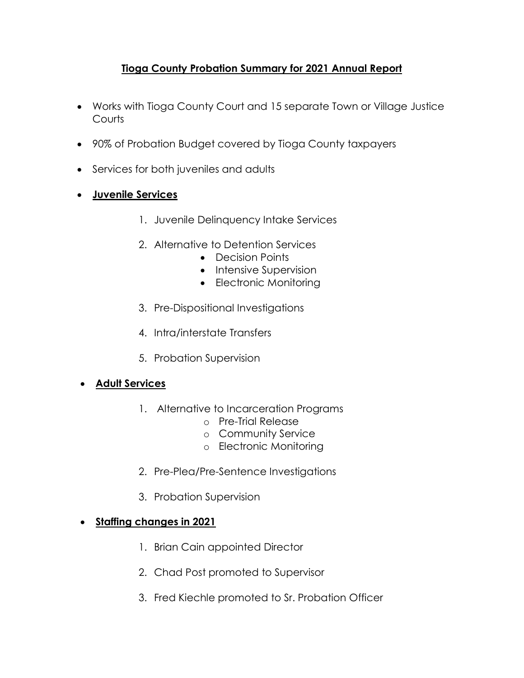# **Tioga County Probation Summary for 2021 Annual Report**

- Works with Tioga County Court and 15 separate Town or Village Justice Courts
- 90% of Probation Budget covered by Tioga County taxpayers
- Services for both juveniles and adults
- **Juvenile Services**
	- 1. Juvenile Delinquency Intake Services
	- 2. Alternative to Detention Services
		- Decision Points
		- Intensive Supervision
		- Electronic Monitoring
	- 3. Pre-Dispositional Investigations
	- 4. Intra/interstate Transfers
	- 5. Probation Supervision

### **Adult Services**

- 1. Alternative to Incarceration Programs
	- o Pre-Trial Release
	- o Community Service
	- o Electronic Monitoring
- 2. Pre-Plea/Pre-Sentence Investigations
- 3. Probation Supervision

### **Staffing changes in 2021**

- 1. Brian Cain appointed Director
- 2. Chad Post promoted to Supervisor
- 3. Fred Kiechle promoted to Sr. Probation Officer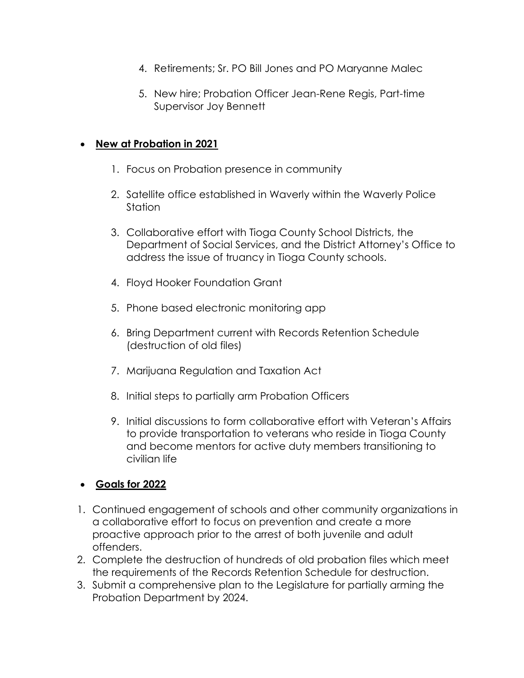- 4. Retirements; Sr. PO Bill Jones and PO Maryanne Malec
- 5. New hire; Probation Officer Jean-Rene Regis, Part-time Supervisor Joy Bennett

### **New at Probation in 2021**

- 1. Focus on Probation presence in community
- 2. Satellite office established in Waverly within the Waverly Police **Station**
- 3. Collaborative effort with Tioga County School Districts, the Department of Social Services, and the District Attorney's Office to address the issue of truancy in Tioga County schools.
- 4. Floyd Hooker Foundation Grant
- 5. Phone based electronic monitoring app
- 6. Bring Department current with Records Retention Schedule (destruction of old files)
- 7. Marijuana Regulation and Taxation Act
- 8. Initial steps to partially arm Probation Officers
- 9. Initial discussions to form collaborative effort with Veteran's Affairs to provide transportation to veterans who reside in Tioga County and become mentors for active duty members transitioning to civilian life

## **Goals for 2022**

- 1. Continued engagement of schools and other community organizations in a collaborative effort to focus on prevention and create a more proactive approach prior to the arrest of both juvenile and adult offenders.
- 2. Complete the destruction of hundreds of old probation files which meet the requirements of the Records Retention Schedule for destruction.
- 3. Submit a comprehensive plan to the Legislature for partially arming the Probation Department by 2024.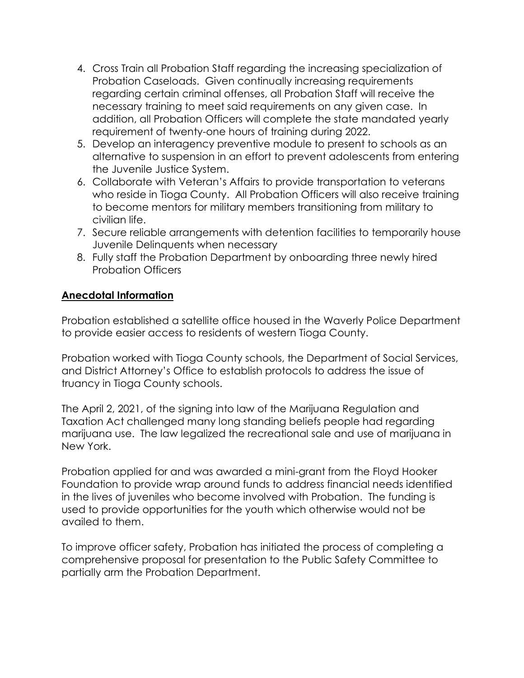- 4. Cross Train all Probation Staff regarding the increasing specialization of Probation Caseloads. Given continually increasing requirements regarding certain criminal offenses, all Probation Staff will receive the necessary training to meet said requirements on any given case. In addition, all Probation Officers will complete the state mandated yearly requirement of twenty-one hours of training during 2022.
- 5. Develop an interagency preventive module to present to schools as an alternative to suspension in an effort to prevent adolescents from entering the Juvenile Justice System.
- 6. Collaborate with Veteran's Affairs to provide transportation to veterans who reside in Tioga County. All Probation Officers will also receive training to become mentors for military members transitioning from military to civilian life.
- 7. Secure reliable arrangements with detention facilities to temporarily house Juvenile Delinquents when necessary
- 8. Fully staff the Probation Department by onboarding three newly hired Probation Officers

## **Anecdotal Information**

Probation established a satellite office housed in the Waverly Police Department to provide easier access to residents of western Tioga County.

Probation worked with Tioga County schools, the Department of Social Services, and District Attorney's Office to establish protocols to address the issue of truancy in Tioga County schools.

The April 2, 2021, of the signing into law of the Marijuana Regulation and Taxation Act challenged many long standing beliefs people had regarding marijuana use. The law legalized the recreational sale and use of marijuana in New York.

Probation applied for and was awarded a mini-grant from the Floyd Hooker Foundation to provide wrap around funds to address financial needs identified in the lives of juveniles who become involved with Probation. The funding is used to provide opportunities for the youth which otherwise would not be availed to them.

To improve officer safety, Probation has initiated the process of completing a comprehensive proposal for presentation to the Public Safety Committee to partially arm the Probation Department.